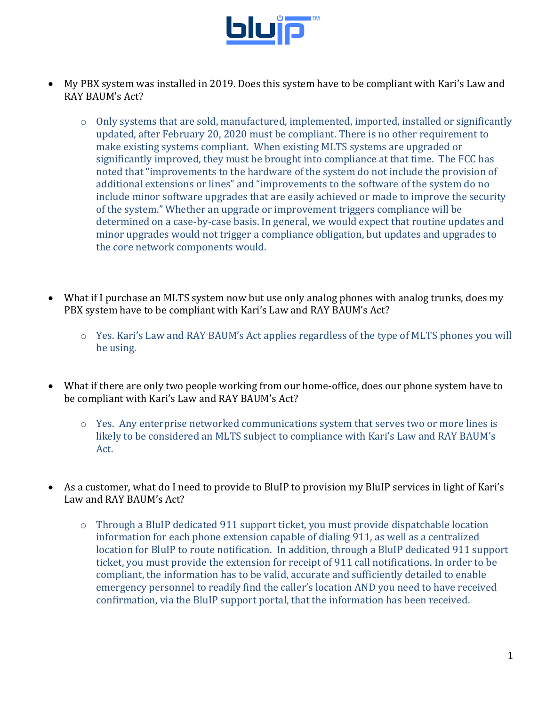

- My PBX system was installed in 2019. Does this system have to be compliant with Kari's Law and RAY BAUM's Act?
	- o Only systems that are sold, manufactured, implemented, imported, installed or significantly updated, after February 20, 2020 must be compliant. There is no other requirement to make existing systems compliant. When existing MLTS systems are upgraded or significantly improved, they must be brought into compliance at that time. The FCC has noted that "improvements to the hardware of the system do not include the provision of additional extensions or lines" and "improvements to the software of the system do no include minor software upgrades that are easily achieved or made to improve the security of the system." Whether an upgrade or improvement triggers compliance will be determined on a case-by-case basis. In general, we would expect that routine updates and minor upgrades would not trigger a compliance obligation, but updates and upgrades to the core network components would.
- What if I purchase an MLTS system now but use only analog phones with analog trunks, does my PBX system have to be compliant with Kari's Law and RAY BAUM's Act?
	- o Yes. Kari's Law and RAY BAUM's Act applies regardless of the type of MLTS phones you will be using.
- What if there are only two people working from our home-office, does our phone system have to be compliant with Kari's Law and RAY BAUM's Act?
	- $\circ$  Yes. Any enterprise networked communications system that serves two or more lines is likely to be considered an MLTS subject to compliance with Kari's Law and RAY BAUM's Act.
- As a customer, what do I need to provide to BluIP to provision my BluIP services in light of Kari's Law and RAY BAUM's Act?
	- o Through a BluIP dedicated 911 support ticket, you must provide dispatchable location information for each phone extension capable of dialing 911, as well as a centralized location for BluIP to route notification. In addition, through a BluIP dedicated 911 support ticket, you must provide the extension for receipt of 911 call notifications. In order to be compliant, the information has to be valid, accurate and sufficiently detailed to enable emergency personnel to readily find the caller's location AND you need to have received confirmation, via the BluIP support portal, that the information has been received.